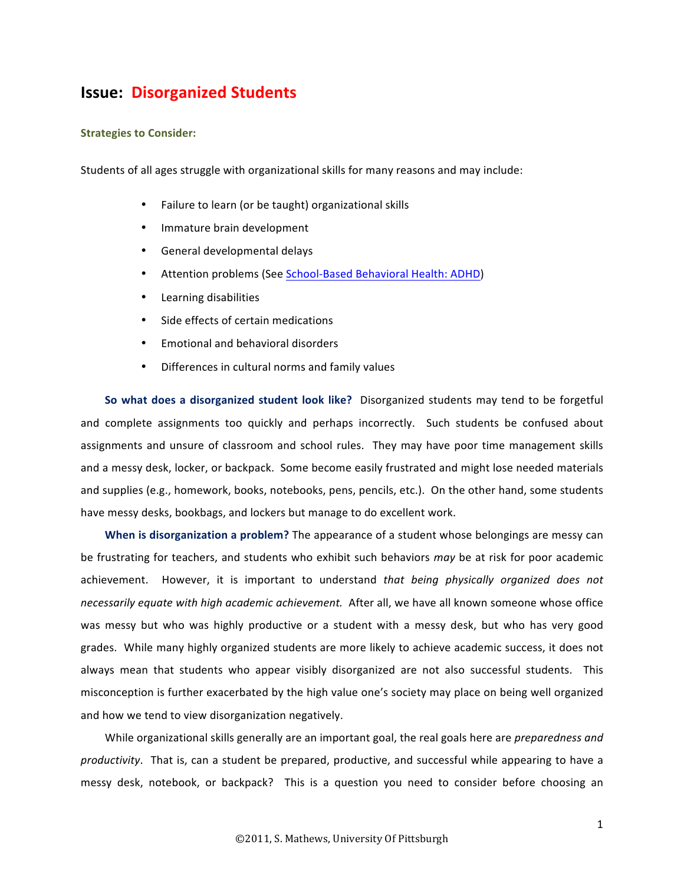## **Issue: Disorganized Students**

## **Strategies to Consider:**

Students of all ages struggle with organizational skills for many reasons and may include:

- Failure to learn (or be taught) organizational skills
- Immature brain development
- General developmental delays
- Attention problems (See School-Based Behavioral Health: ADHD)
- Learning disabilities
- Side effects of certain medications
- Emotional and behavioral disorders
- Differences in cultural norms and family values

So what does a disorganized student look like? Disorganized students may tend to be forgetful and complete assignments too quickly and perhaps incorrectly. Such students be confused about assignments and unsure of classroom and school rules. They may have poor time management skills and a messy desk, locker, or backpack. Some become easily frustrated and might lose needed materials and supplies (e.g., homework, books, notebooks, pens, pencils, etc.). On the other hand, some students have messy desks, bookbags, and lockers but manage to do excellent work.

**When is disorganization a problem?** The appearance of a student whose belongings are messy can be frustrating for teachers, and students who exhibit such behaviors may be at risk for poor academic achievement. However, it is important to understand *that being physically organized does not necessarily equate with high academic achievement.* After all, we have all known someone whose office was messy but who was highly productive or a student with a messy desk, but who has very good grades. While many highly organized students are more likely to achieve academic success, it does not always mean that students who appear visibly disorganized are not also successful students. This misconception is further exacerbated by the high value one's society may place on being well organized and how we tend to view disorganization negatively.

While organizational skills generally are an important goal, the real goals here are *preparedness and productivity*. That is, can a student be prepared, productive, and successful while appearing to have a messy desk, notebook, or backpack? This is a question you need to consider before choosing an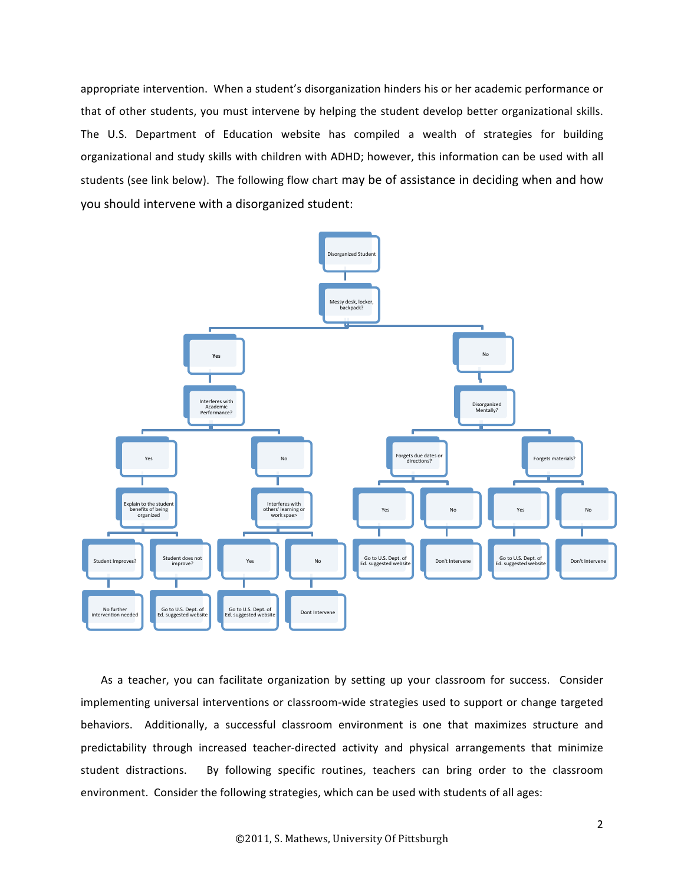appropriate intervention. When a student's disorganization hinders his or her academic performance or that of other students, you must intervene by helping the student develop better organizational skills. The U.S. Department of Education website has compiled a wealth of strategies for building organizational and study skills with children with ADHD; however, this information can be used with all students (see link below). The following flow chart may be of assistance in deciding when and how you should intervene with a disorganized student:



As a teacher, you can facilitate organization by setting up your classroom for success. Consider implementing universal interventions or classroom-wide strategies used to support or change targeted behaviors. Additionally, a successful classroom environment is one that maximizes structure and predictability through increased teacher-directed activity and physical arrangements that minimize student distractions. By following specific routines, teachers can bring order to the classroom environment. Consider the following strategies, which can be used with students of all ages: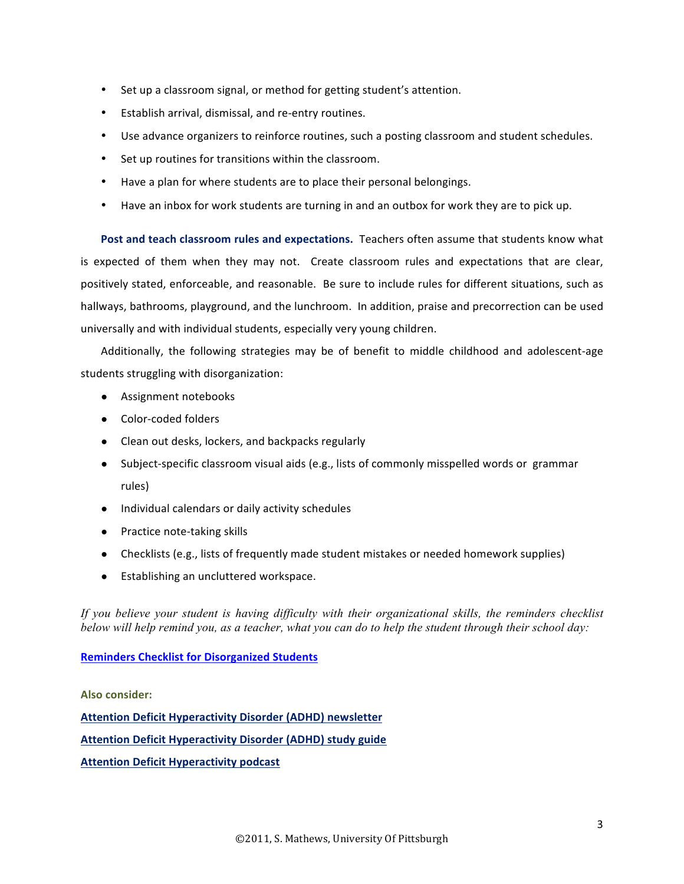- Set up a classroom signal, or method for getting student's attention.
- Establish arrival, dismissal, and re-entry routines.
- Use advance organizers to reinforce routines, such a posting classroom and student schedules.
- Set up routines for transitions within the classroom.
- Have a plan for where students are to place their personal belongings.
- Have an inbox for work students are turning in and an outbox for work they are to pick up.

Post and teach classroom rules and expectations. Teachers often assume that students know what is expected of them when they may not. Create classroom rules and expectations that are clear, positively stated, enforceable, and reasonable. Be sure to include rules for different situations, such as hallways, bathrooms, playground, and the lunchroom. In addition, praise and precorrection can be used universally and with individual students, especially very young children.

Additionally, the following strategies may be of benefit to middle childhood and adolescent-age students struggling with disorganization:

- Assignment notebooks
- Color-coded folders
- Clean out desks, lockers, and backpacks regularly
- Subject-specific classroom visual aids (e.g., lists of commonly misspelled words or grammar rules)
- Individual calendars or daily activity schedules
- Practice note-taking skills
- Checklists (e.g., lists of frequently made student mistakes or needed homework supplies)
- Establishing an uncluttered workspace.

*If you believe your student is having difficulty with their organizational skills, the reminders checklist below will help remind you, as a teacher, what you can do to help the student through their school day:* 

**Reminders Checklist for Disorganized Students** 

## **Also consider:**

**Attention Deficit Hyperactivity Disorder (ADHD) newsletter Attention Deficit Hyperactivity Disorder (ADHD) study guide Attention Deficit Hyperactivity podcast**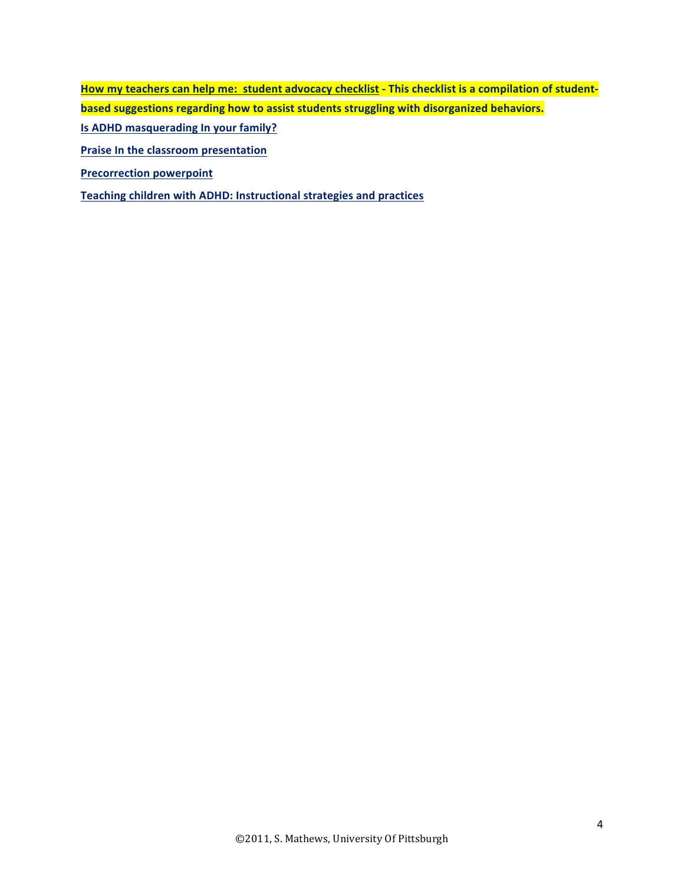How my teachers can help me: student advocacy checklist - This checklist is a compilation of student**based suggestions regarding how to assist students struggling with disorganized behaviors. Is ADHD masquerading In your family? Praise In the classroom presentation** 

**Precorrection powerpoint** 

**Teaching children with ADHD: Instructional strategies and practices**